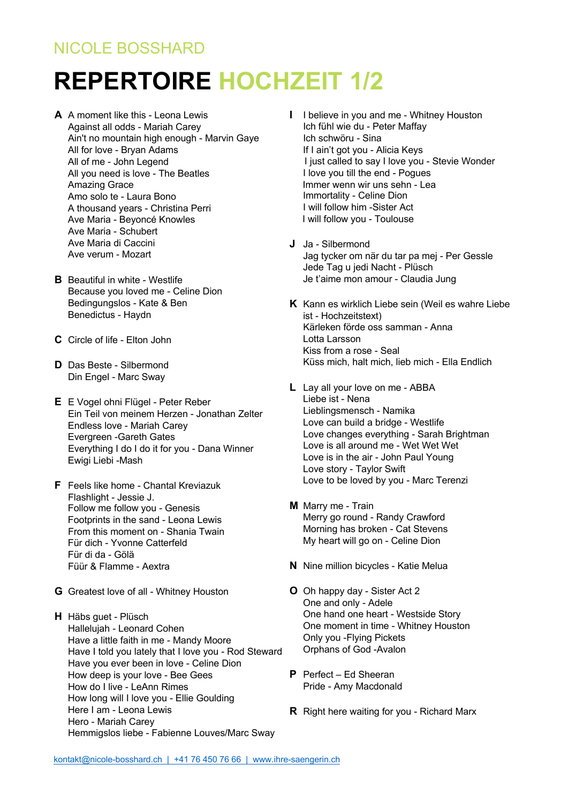## NICOLE BOSSHARD

## **REPERTOIRE HOCHZEIT 1/2**

- **A** A moment like this Leona Lewis Against all odds - Mariah Carey Ain't no mountain high enough - Marvin Gaye All for love - Bryan Adams All of me - John Legend All you need is love - The Beatles Amazing Grace Amo solo te - Laura Bono A thousand years - Christina Perri Ave Maria - Beyoncé Knowles Ave Maria - Schubert Ave Maria di Caccini Ave verum - Mozart
- **B** Beautiful in white Westlife Because you loved me - Celine Dion Bedingungslos - Kate & Ben Benedictus - Haydn
- **C** Circle of life Elton John
- **D** Das Beste Silbermond Din Engel - Marc Sway
- **E** E Vogel ohni Flügel Peter Reber Ein Teil von meinem Herzen - Jonathan Zelter Endless love - Mariah Carey Evergreen -Gareth Gates Everything I do I do it for you - Dana Winner Ewigi Liebi -Mash
- **F** Feels like home Chantal Kreviazuk Flashlight - Jessie J. Follow me follow you - Genesis Footprints in the sand - Leona Lewis From this moment on - Shania Twain Für dich - Yvonne Catterfeld Für di da - Gölä Füür & Flamme - Aextra
- **G** Greatest love of all Whitney Houston
- **H** Häbs guet Plüsch Hallelujah - Leonard Cohen Have a little faith in me - Mandy Moore Have I told you lately that I love you - Rod Steward Have you ever been in love - Celine Dion How deep is your love - Bee Gees How do I live - LeAnn Rimes How long will I love you - Ellie Goulding Here I am - Leona Lewis Hero - Mariah Carey Hemmigslos liebe - Fabienne Louves/Marc Sway
- **I** I believe in you and me Whitney Houston Ich fühl wie du - Peter Maffay Ich schwöru - Sina If I ain't got you - Alicia Keys I just called to say I love you - Stevie Wonder I love you till the end - Pogues Immer wenn wir uns sehn - Lea Immortality - Celine Dion I will follow him -Sister Act I will follow you - Toulouse
- **J** Ja Silbermond Jag tycker om när du tar pa mej - Per Gessle Jede Tag u jedi Nacht - Plüsch Je t'aime mon amour - Claudia Jung
- **K** Kann es wirklich Liebe sein (Weil es wahre Liebe ist - Hochzeitstext) Kärleken förde oss samman - Anna Lotta Larsson Kiss from a rose - Seal Küss mich, halt mich, lieb mich - Ella Endlich
- **L** Lay all your love on me ABBA Liebe ist - Nena Lieblingsmensch - Namika Love can build a bridge - Westlife Love changes everything - Sarah Brightman Love is all around me - Wet Wet Wet Love is in the air - John Paul Young Love story - Taylor Swift Love to be loved by you - Marc Terenzi
- **M** Marry me Train Merry go round - Randy Crawford Morning has broken - Cat Stevens My heart will go on - Celine Dion
- **N** Nine million bicycles Katie Melua
- **O** Oh happy day Sister Act 2 One and only - Adele One hand one heart - Westside Story One moment in time - Whitney Houston Only you -Flying Pickets Orphans of God -Avalon
- **P** Perfect Ed Sheeran Pride - Amy Macdonald
- **R** Right here waiting for you Richard Marx